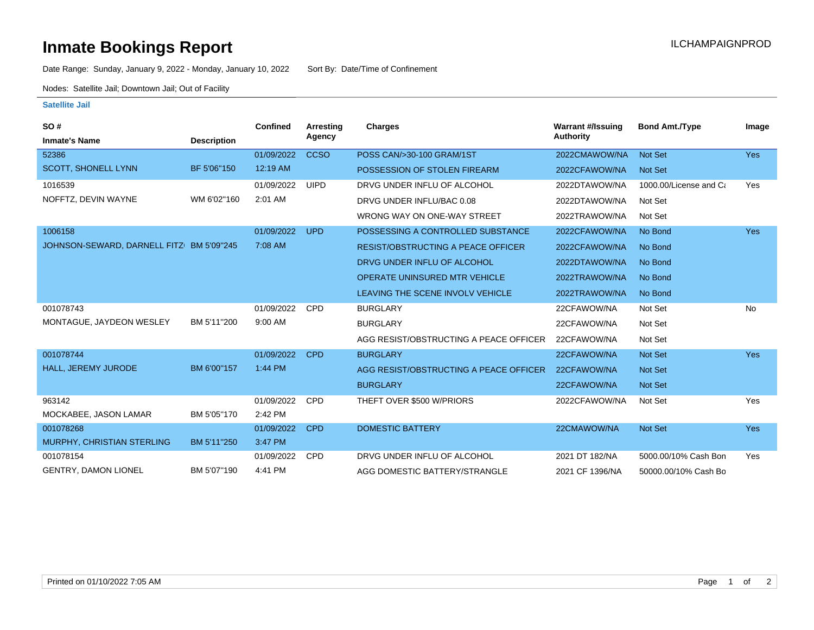## **Inmate Bookings Report Installation ILCHAMPAIGNPROD**

Date Range: Sunday, January 9, 2022 - Monday, January 10, 2022 Sort By: Date/Time of Confinement

Nodes: Satellite Jail; Downtown Jail; Out of Facility

## **Satellite Jail**

| SO#                                      |                    | <b>Confined</b> | <b>Arresting</b> | Charges                                   | <b>Warrant #/Issuing</b> | <b>Bond Amt./Type</b>  | Image      |
|------------------------------------------|--------------------|-----------------|------------------|-------------------------------------------|--------------------------|------------------------|------------|
| <b>Inmate's Name</b>                     | <b>Description</b> |                 | Agency           |                                           | <b>Authority</b>         |                        |            |
| 52386                                    |                    | 01/09/2022      | <b>CCSO</b>      | POSS CAN/>30-100 GRAM/1ST                 | 2022CMAWOW/NA            | <b>Not Set</b>         | <b>Yes</b> |
| <b>SCOTT, SHONELL LYNN</b>               | BF 5'06"150        | 12:19 AM        |                  | POSSESSION OF STOLEN FIREARM              | 2022CFAWOW/NA            | Not Set                |            |
| 1016539                                  |                    | 01/09/2022      | <b>UIPD</b>      | DRVG UNDER INFLU OF ALCOHOL               | 2022DTAWOW/NA            | 1000.00/License and Ca | Yes        |
| NOFFTZ, DEVIN WAYNE                      | WM 6'02"160        | 2:01 AM         |                  | DRVG UNDER INFLU/BAC 0.08                 | 2022DTAWOW/NA            | Not Set                |            |
|                                          |                    |                 |                  | WRONG WAY ON ONE-WAY STREET               | 2022TRAWOW/NA            | Not Set                |            |
| 1006158                                  |                    | 01/09/2022      | <b>UPD</b>       | POSSESSING A CONTROLLED SUBSTANCE         | 2022CFAWOW/NA            | No Bond                | <b>Yes</b> |
| JOHNSON-SEWARD, DARNELL FITZ BM 5'09"245 |                    | 7:08 AM         |                  | <b>RESIST/OBSTRUCTING A PEACE OFFICER</b> | 2022CFAWOW/NA            | No Bond                |            |
|                                          |                    |                 |                  | DRVG UNDER INFLU OF ALCOHOL               | 2022DTAWOW/NA            | No Bond                |            |
|                                          |                    |                 |                  | <b>OPERATE UNINSURED MTR VEHICLE</b>      | 2022TRAWOW/NA            | No Bond                |            |
|                                          |                    |                 |                  | LEAVING THE SCENE INVOLV VEHICLE          | 2022TRAWOW/NA            | No Bond                |            |
| 001078743                                |                    | 01/09/2022      | <b>CPD</b>       | <b>BURGLARY</b>                           | 22CFAWOW/NA              | Not Set                | No         |
| MONTAGUE, JAYDEON WESLEY                 | BM 5'11"200        | 9:00 AM         |                  | <b>BURGLARY</b>                           | 22CFAWOW/NA              | Not Set                |            |
|                                          |                    |                 |                  | AGG RESIST/OBSTRUCTING A PEACE OFFICER    | 22CFAWOW/NA              | Not Set                |            |
| 001078744                                |                    | 01/09/2022      | <b>CPD</b>       | <b>BURGLARY</b>                           | 22CFAWOW/NA              | <b>Not Set</b>         | <b>Yes</b> |
| HALL, JEREMY JURODE                      | BM 6'00"157        | 1:44 PM         |                  | AGG RESIST/OBSTRUCTING A PEACE OFFICER    | 22CFAWOW/NA              | <b>Not Set</b>         |            |
|                                          |                    |                 |                  | <b>BURGLARY</b>                           | 22CFAWOW/NA              | Not Set                |            |
| 963142                                   |                    | 01/09/2022      | <b>CPD</b>       | THEFT OVER \$500 W/PRIORS                 | 2022CFAWOW/NA            | Not Set                | Yes        |
| MOCKABEE, JASON LAMAR                    | BM 5'05"170        | 2:42 PM         |                  |                                           |                          |                        |            |
| 001078268                                |                    | 01/09/2022      | <b>CPD</b>       | <b>DOMESTIC BATTERY</b>                   | 22CMAWOW/NA              | <b>Not Set</b>         | Yes        |
| MURPHY, CHRISTIAN STERLING               | BM 5'11"250        | 3:47 PM         |                  |                                           |                          |                        |            |
| 001078154                                |                    | 01/09/2022      | <b>CPD</b>       | DRVG UNDER INFLU OF ALCOHOL               | 2021 DT 182/NA           | 5000.00/10% Cash Bon   | Yes        |
| <b>GENTRY, DAMON LIONEL</b>              | BM 5'07"190        | 4:41 PM         |                  | AGG DOMESTIC BATTERY/STRANGLE             | 2021 CF 1396/NA          | 50000.00/10% Cash Bo   |            |